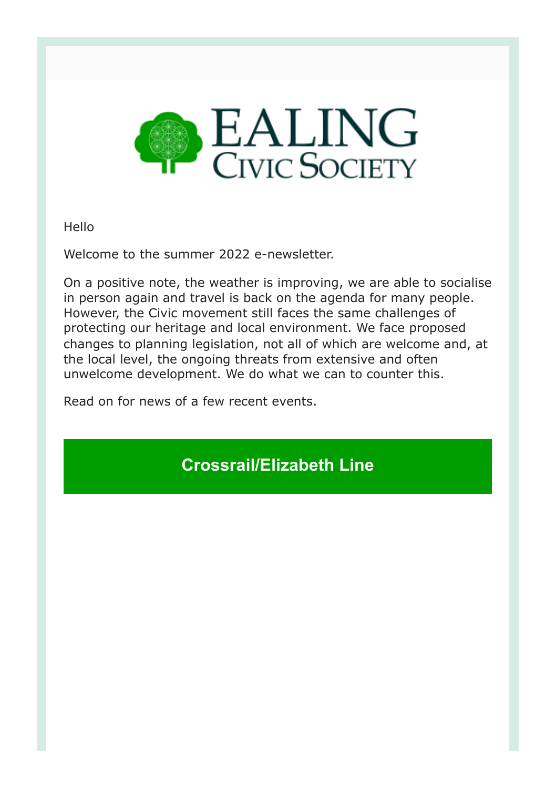

Hello

Welcome to the summer 2022 e-newsletter.

On a positive note, the weather is improving, we are able to socialise in person again and travel is back on the agenda for many people. However, the Civic movement still faces the same challenges of protecting our heritage and local environment. We face proposed changes to planning legislation, not all of which are welcome and, at the local level, the ongoing threats from extensive and often unwelcome development. We do what we can to counter this.

Read on for news of a few recent events.

**Crossrail/Elizabeth Line**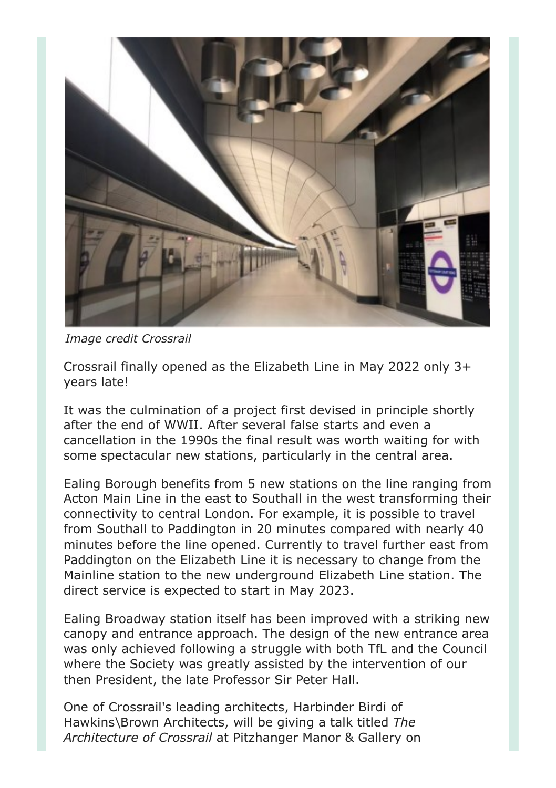

*Image credit Crossrail*

Crossrail finally opened as the Elizabeth Line in May 2022 only 3+ years late!

It was the culmination of a project first devised in principle shortly after the end of WWII. After several false starts and even a cancellation in the 1990s the final result was worth waiting for with some spectacular new stations, particularly in the central area.

Ealing Borough benefits from 5 new stations on the line ranging from Acton Main Line in the east to Southall in the west transforming their connectivity to central London. For example, it is possible to travel from Southall to Paddington in 20 minutes compared with nearly 40 minutes before the line opened. Currently to travel further east from Paddington on the Elizabeth Line it is necessary to change from the Mainline station to the new underground Elizabeth Line station. The direct service is expected to start in May 2023.

Ealing Broadway station itself has been improved with a striking new canopy and entrance approach. The design of the new entrance area was only achieved following a struggle with both TfL and the Council where the Society was greatly assisted by the intervention of our then President, the late Professor Sir Peter Hall.

One of Crossrail's leading architects, Harbinder Birdi of Hawkins\Brown Architects, will be giving a talk titled *The Architecture of Crossrail* at Pitzhanger Manor & Gallery on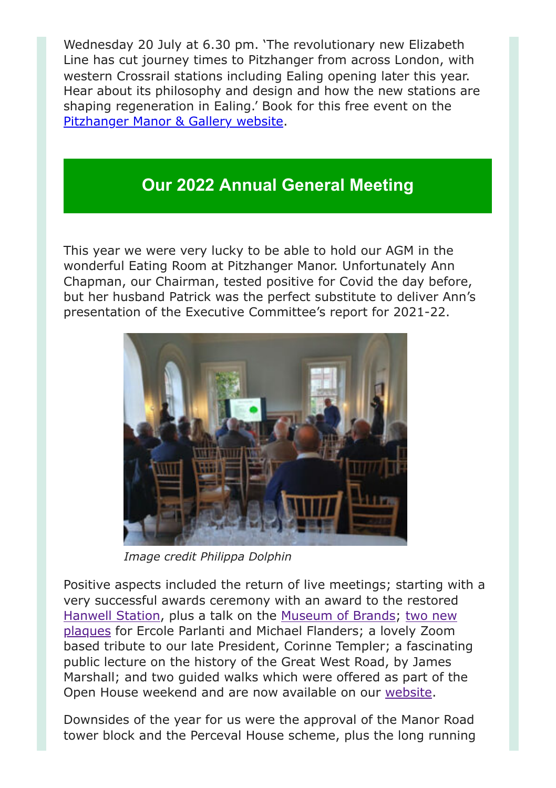Wednesday 20 July at 6.30 pm. 'The revolutionary new Elizabeth Line has cut journey times to Pitzhanger from across London, with western Crossrail stations including Ealing opening later this year. Hear about its philosophy and design and how the new stations are shaping regeneration in Ealing.' Book for this free event on the [Pitzhanger Manor & Gallery website](http://www.pitzhanger.org.uk/whatson/the-architecture-of-crossrail/).

## **Our 2022 Annual General Meeting**

This year we were very lucky to be able to hold our AGM in the wonderful Eating Room at Pitzhanger Manor. Unfortunately Ann Chapman, our Chairman, tested positive for Covid the day before, but her husband Patrick was the perfect substitute to deliver Ann's presentation of the Executive Committee's report for 2021-22.



*Image credit Philippa Dolphin*

Positive aspects included the return of live meetings; starting with a very successful awards ceremony with an award to the restored [Hanwell Statio](https://ealingcivicsociety.org/awards-plaques/awards/)[n, plus a talk on the](https://ealingcivicsociety.org/awards-plaques/plaques/) [Museum of Brand](https://museumofbrands.com/)[s; two new](https://ealingcivicsociety.org/awards-plaques/plaques/) plaques for Ercole Parlanti and Michael Flanders; a lovely Zoom based tribute to our late President, Corinne Templer; a fascinating public lecture on the history of the Great West Road, by James Marshall; and two guided walks which were offered as part of the Open House weekend and are now available on our [website](https://ealingcivicsociety.org/walks/).

Downsides of the year for us were the approval of the Manor Road tower block and the Perceval House scheme, plus the long running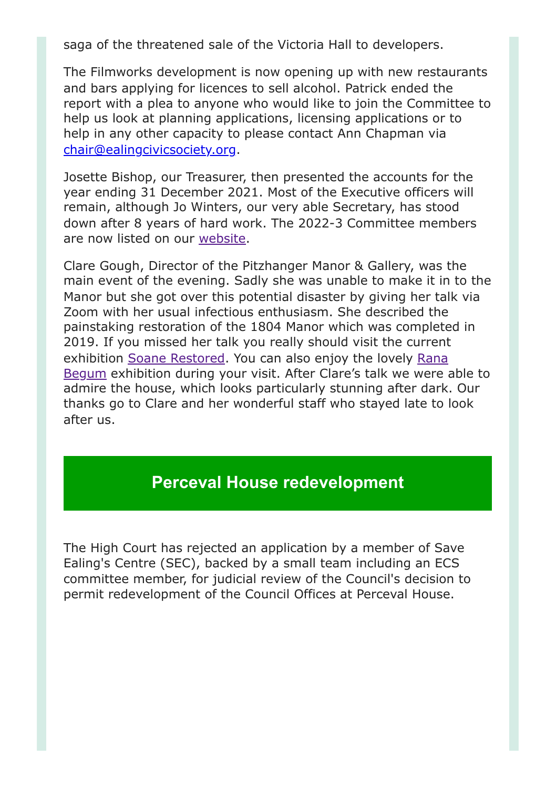saga of the threatened sale of the Victoria Hall to developers.

The Filmworks development is now opening up with new restaurants and bars applying for licences to sell alcohol. Patrick ended the report with a plea to anyone who would like to join the Committee to help us look at planning applications, licensing applications or to help in any other capacity to please contact Ann Chapman via [chair@ealingcivicsociety.org.](mailto:chair@ealingcivicsociety.org)

Josette Bishop, our Treasurer, then presented the accounts for the year ending 31 December 2021. Most of the Executive officers will remain, although Jo Winters, our very able Secretary, has stood down after 8 years of hard work. The 2022-3 Committee members are now listed on our [website.](https://ealingcivicsociety.org/contact/)

Clare Gough, Director of the Pitzhanger Manor & Gallery, was the main event of the evening. Sadly she was unable to make it in to the Manor but she got over this potential disaster by giving her talk via Zoom with her usual infectious enthusiasm. She described the painstaking restoration of the 1804 Manor which was completed in 2019. If you missed her talk you really should visit the current [exhibition S](https://www.pitzhanger.org.uk/whatson/rana-begum-dappled-light/)[oane Restore](https://www.pitzhanger.org.uk/whatson/soane-restored/)[d. You can also enjoy the lovely Rana](https://www.pitzhanger.org.uk/whatson/rana-begum-dappled-light/) Begum exhibition during your visit. After Clare's talk we were able to admire the house, which looks particularly stunning after dark. Our thanks go to Clare and her wonderful staff who stayed late to look after us.

## **Perceval House redevelopment**

The High Court has rejected an application by a member of Save Ealing's Centre (SEC), backed by a small team including an ECS committee member, for judicial review of the Council's decision to permit redevelopment of the Council Offices at Perceval House.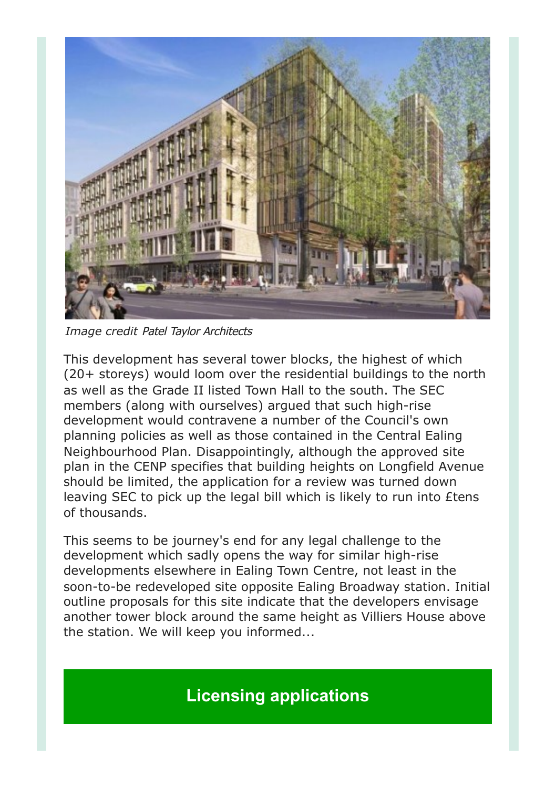

*Image credit* Patel Taylor Architects

This development has several tower blocks, the highest of which (20+ storeys) would loom over the residential buildings to the north as well as the Grade II listed Town Hall to the south. The SEC members (along with ourselves) argued that such high-rise development would contravene a number of the Council's own planning policies as well as those contained in the Central Ealing Neighbourhood Plan. Disappointingly, although the approved site plan in the CENP specifies that building heights on Longfield Avenue should be limited, the application for a review was turned down leaving SEC to pick up the legal bill which is likely to run into £tens of thousands.

This seems to be journey's end for any legal challenge to the development which sadly opens the way for similar high-rise developments elsewhere in Ealing Town Centre, not least in the soon-to-be redeveloped site opposite Ealing Broadway station. Initial outline proposals for this site indicate that the developers envisage another tower block around the same height as Villiers House above the station. We will keep you informed...

**Licensing applications**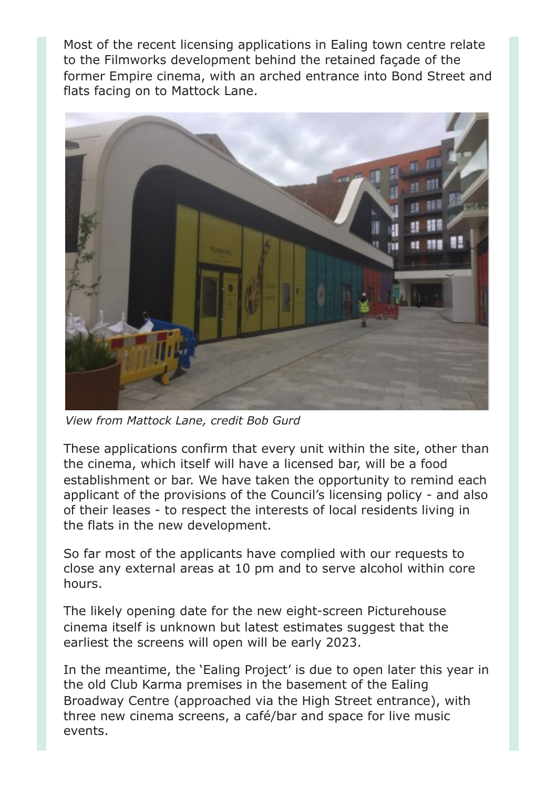Most of the recent licensing applications in Ealing town centre relate to the Filmworks development behind the retained façade of the former Empire cinema, with an arched entrance into Bond Street and flats facing on to Mattock Lane.



*View from Mattock Lane, credit Bob Gurd*

These applications confirm that every unit within the site, other than the cinema, which itself will have a licensed bar, will be a food establishment or bar. We have taken the opportunity to remind each applicant of the provisions of the Council's licensing policy - and also of their leases - to respect the interests of local residents living in the flats in the new development.

So far most of the applicants have complied with our requests to close any external areas at 10 pm and to serve alcohol within core hours.

The likely opening date for the new eight-screen Picturehouse cinema itself is unknown but latest estimates suggest that the earliest the screens will open will be early 2023.

In the meantime, the 'Ealing Project' is due to open later this year in the old Club Karma premises in the basement of the Ealing Broadway Centre (approached via the High Street entrance), with three new cinema screens, a café/bar and space for live music events.